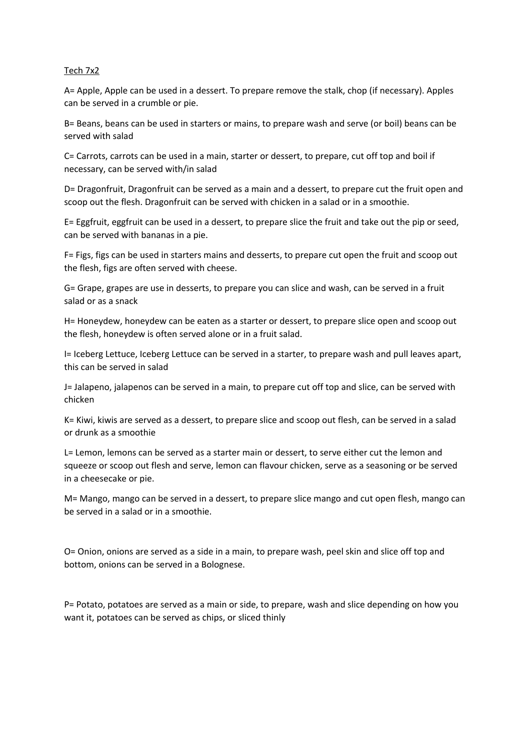## Tech 7x2

A= Apple, Apple can be used in a dessert. To prepare remove the stalk, chop (if necessary). Apples can be served in a crumble or pie.

B= Beans, beans can be used in starters or mains, to prepare wash and serve (or boil) beans can be served with salad

C= Carrots, carrots can be used in a main, starter or dessert, to prepare, cut off top and boil if necessary, can be served with/in salad

D= Dragonfruit, Dragonfruit can be served as a main and a dessert, to prepare cut the fruit open and scoop out the flesh. Dragonfruit can be served with chicken in a salad or in a smoothie.

E= Eggfruit, eggfruit can be used in a dessert, to prepare slice the fruit and take out the pip or seed, can be served with bananas in a pie.

F= Figs, figs can be used in starters mains and desserts, to prepare cut open the fruit and scoop out the flesh, figs are often served with cheese.

G= Grape, grapes are use in desserts, to prepare you can slice and wash, can be served in a fruit salad or as a snack

H= Honeydew, honeydew can be eaten as a starter or dessert, to prepare slice open and scoop out the flesh, honeydew is often served alone or in a fruit salad.

I= Iceberg Lettuce, Iceberg Lettuce can be served in a starter, to prepare wash and pull leaves apart, this can be served in salad

J= Jalapeno, jalapenos can be served in a main, to prepare cut off top and slice, can be served with chicken

K= Kiwi, kiwis are served as a dessert, to prepare slice and scoop out flesh, can be served in a salad or drunk as a smoothie

L= Lemon, lemons can be served as a starter main or dessert, to serve either cut the lemon and squeeze or scoop out flesh and serve, lemon can flavour chicken, serve as a seasoning or be served in a cheesecake or pie.

M= Mango, mango can be served in a dessert, to prepare slice mango and cut open flesh, mango can be served in a salad or in a smoothie.

O= Onion, onions are served as a side in a main, to prepare wash, peel skin and slice off top and bottom, onions can be served in a Bolognese.

P= Potato, potatoes are served as a main or side, to prepare, wash and slice depending on how you want it, potatoes can be served as chips, or sliced thinly